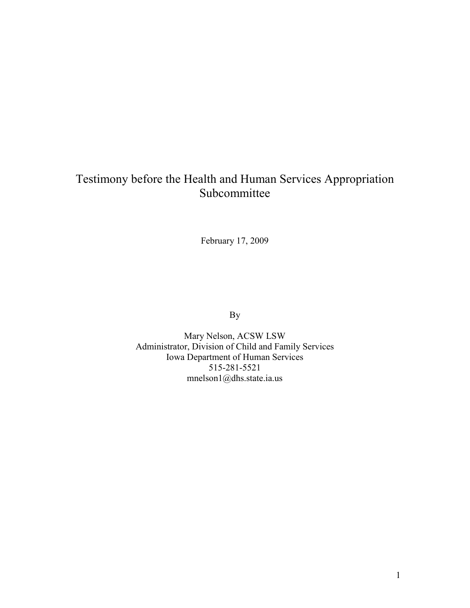# Testimony before the Health and Human Services Appropriation Subcommittee

February 17, 2009

By

Mary Nelson, ACSW LSW Administrator, Division of Child and Family Services Iowa Department of Human Services 515-281-5521 mnelson1@dhs.state.ia.us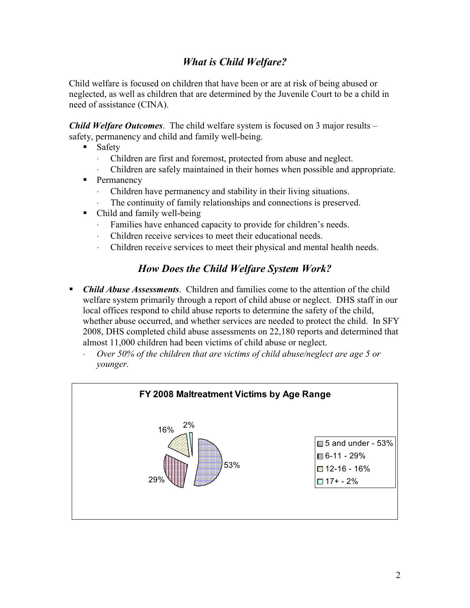## *What is Child Welfare?*

Child welfare is focused on children that have been or are at risk of being abused or neglected, as well as children that are determined by the Juvenile Court to be a child in need of assistance (CINA).

*Child Welfare Outcomes*. The child welfare system is focused on 3 major results – safety, permanency and child and family well-being.

- **Safety** 
	- ⋅ Children are first and foremost, protected from abuse and neglect.
	- Children are safely maintained in their homes when possible and appropriate.
- Permanency
	- ⋅ Children have permanency and stability in their living situations.
	- The continuity of family relationships and connections is preserved.
- Child and family well-being
	- ⋅ Families have enhanced capacity to provide for children's needs.
	- ⋅ Children receive services to meet their educational needs.
	- ⋅ Children receive services to meet their physical and mental health needs.

#### *How Does the Child Welfare System Work?*

- *Child Abuse Assessments*. Children and families come to the attention of the child welfare system primarily through a report of child abuse or neglect. DHS staff in our local offices respond to child abuse reports to determine the safety of the child, whether abuse occurred, and whether services are needed to protect the child. In SFY 2008, DHS completed child abuse assessments on 22,180 reports and determined that almost 11,000 children had been victims of child abuse or neglect.
	- ⋅ *Over 50% of the children that are victims of child abuse/neglect are age 5 or younger.*

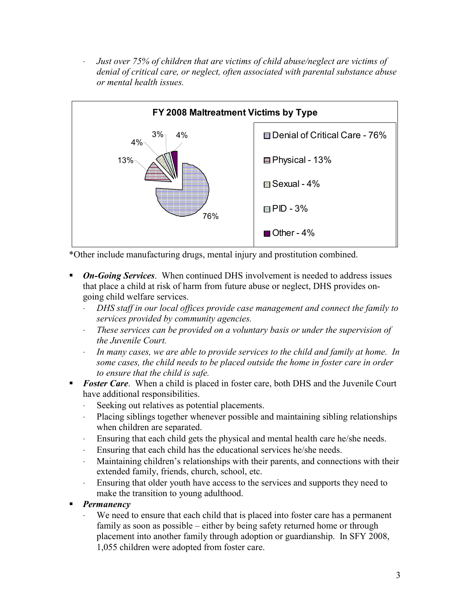⋅ *Just over 75% of children that are victims of child abuse/neglect are victims of denial of critical care, or neglect, often associated with parental substance abuse or mental health issues.*



\*Other include manufacturing drugs, mental injury and prostitution combined.

- **On-Going Services**. When continued DHS involvement is needed to address issues that place a child at risk of harm from future abuse or neglect, DHS provides ongoing child welfare services.
	- ⋅ *DHS staff in our local offices provide case management and connect the family to services provided by community agencies.*
	- ⋅ *These services can be provided on a voluntary basis or under the supervision of the Juvenile Court.*
	- In many cases, we are able to provide services to the child and family at home. In *some cases, the child needs to be placed outside the home in foster care in order to ensure that the child is safe.*
- **Foster Care.** When a child is placed in foster care, both DHS and the Juvenile Court have additional responsibilities.
	- Seeking out relatives as potential placements.
	- ⋅ Placing siblings together whenever possible and maintaining sibling relationships when children are separated.
	- ⋅ Ensuring that each child gets the physical and mental health care he/she needs.
	- ⋅ Ensuring that each child has the educational services he/she needs.
	- Maintaining children's relationships with their parents, and connections with their extended family, friends, church, school, etc.
	- ⋅ Ensuring that older youth have access to the services and supports they need to make the transition to young adulthood.
- *Permanency*
	- We need to ensure that each child that is placed into foster care has a permanent family as soon as possible – either by being safety returned home or through placement into another family through adoption or guardianship. In SFY 2008, 1,055 children were adopted from foster care.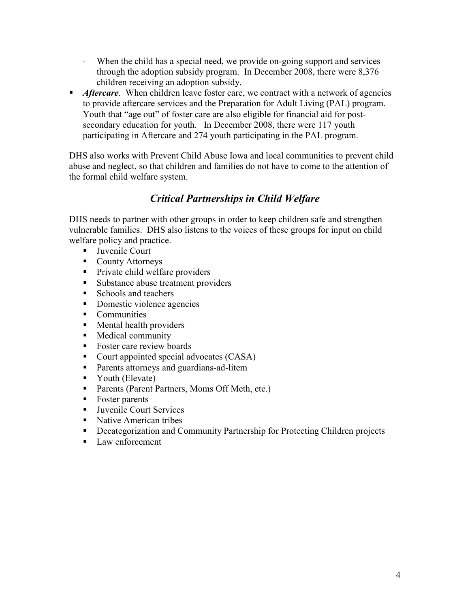- ⋅ When the child has a special need, we provide on-going support and services through the adoption subsidy program. In December 2008, there were 8,376 children receiving an adoption subsidy.
- *Aftercare.* When children leave foster care, we contract with a network of agencies to provide aftercare services and the Preparation for Adult Living (PAL) program. Youth that "age out" of foster care are also eligible for financial aid for postsecondary education for youth. In December 2008, there were 117 youth participating in Aftercare and 274 youth participating in the PAL program.

DHS also works with Prevent Child Abuse Iowa and local communities to prevent child abuse and neglect, so that children and families do not have to come to the attention of the formal child welfare system.

## *Critical Partnerships in Child Welfare*

DHS needs to partner with other groups in order to keep children safe and strengthen vulnerable families. DHS also listens to the voices of these groups for input on child welfare policy and practice.

- **Juvenile Court**
- County Attorneys
- Private child welfare providers
- Substance abuse treatment providers
- Schools and teachers
- Domestic violence agencies
- Communities
- **Mental health providers**
- Medical community
- Foster care review boards
- Court appointed special advocates (CASA)
- Parents attorneys and guardians-ad-litem
- Vouth (Elevate)
- Parents (Parent Partners, Moms Off Meth, etc.)
- Foster parents
- Juvenile Court Services
- Native American tribes
- **•** Decategorization and Community Partnership for Protecting Children projects
- Law enforcement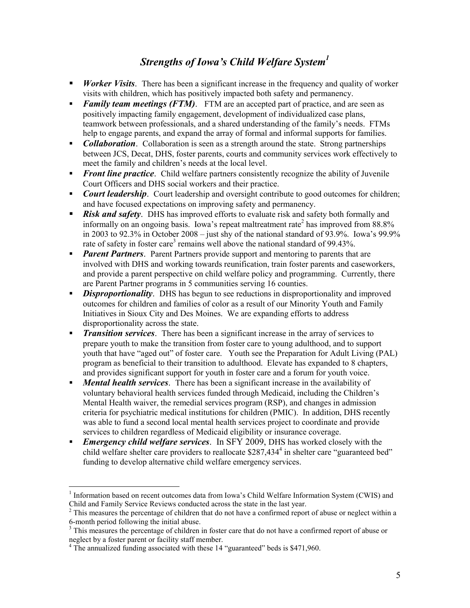## *Strengths of Iowa's Child Welfare System1*

- **Worker Visits**. There has been a significant increase in the frequency and quality of worker visits with children, which has positively impacted both safety and permanency.
- **Family team meetings (FTM)**. FTM are an accepted part of practice, and are seen as positively impacting family engagement, development of individualized case plans, teamwork between professionals, and a shared understanding of the family's needs. FTMs help to engage parents, and expand the array of formal and informal supports for families.
- **Collaboration**. Collaboration is seen as a strength around the state. Strong partnerships between JCS, Decat, DHS, foster parents, courts and community services work effectively to meet the family and children's needs at the local level.
- **Figure 1 Front line practice**. Child welfare partners consistently recognize the ability of Juvenile Court Officers and DHS social workers and their practice.
- **Court leadership**. Court leadership and oversight contribute to good outcomes for children; and have focused expectations on improving safety and permanency.
- **Risk and safety**. DHS has improved efforts to evaluate risk and safety both formally and informally on an ongoing basis. Iowa's repeat maltreatment rate<sup>2</sup> has improved from  $88.8\%$ in 2003 to 92.3% in October 2008 – just shy of the national standard of 93.9%. Iowa's 99.9% rate of safety in foster care<sup>3</sup> remains well above the national standard of 99.43%.
- *Parent Partners.* Parent Partners provide support and mentoring to parents that are involved with DHS and working towards reunification, train foster parents and caseworkers, and provide a parent perspective on child welfare policy and programming. Currently, there are Parent Partner programs in 5 communities serving 16 counties.
- *Disproportionality.* DHS has begun to see reductions in disproportionality and improved outcomes for children and families of color as a result of our Minority Youth and Family Initiatives in Sioux City and Des Moines. We are expanding efforts to address disproportionality across the state.
- **Transition services**. There has been a significant increase in the array of services to prepare youth to make the transition from foster care to young adulthood, and to support youth that have "aged out" of foster care. Youth see the Preparation for Adult Living (PAL) program as beneficial to their transition to adulthood. Elevate has expanded to 8 chapters, and provides significant support for youth in foster care and a forum for youth voice.
- *Mental health services*. There has been a significant increase in the availability of voluntary behavioral health services funded through Medicaid, including the Children's Mental Health waiver, the remedial services program (RSP), and changes in admission criteria for psychiatric medical institutions for children (PMIC). In addition, DHS recently was able to fund a second local mental health services project to coordinate and provide services to children regardless of Medicaid eligibility or insurance coverage.
- *Emergency child welfare services*. In SFY 2009, DHS has worked closely with the child welfare shelter care providers to reallocate \$287,434<sup>4</sup> in shelter care "guaranteed bed" funding to develop alternative child welfare emergency services.

 $\overline{a}$ 

<sup>&</sup>lt;sup>1</sup> Information based on recent outcomes data from Iowa's Child Welfare Information System (CWIS) and Child and Family Service Reviews conducted across the state in the last year.

 $2<sup>2</sup>$  This measures the percentage of children that do not have a confirmed report of abuse or neglect within a 6-month period following the initial abuse.

 $3$  This measures the percentage of children in foster care that do not have a confirmed report of abuse or neglect by a foster parent or facility staff member.

<sup>&</sup>lt;sup>4</sup> The annualized funding associated with these 14 "guaranteed" beds is \$471,960.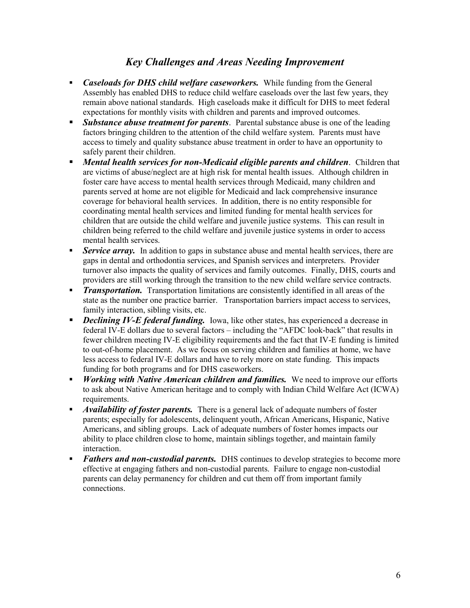#### *Key Challenges and Areas Needing Improvement*

- *Caseloads for DHS child welfare caseworkers.* While funding from the General Assembly has enabled DHS to reduce child welfare caseloads over the last few years, they remain above national standards. High caseloads make it difficult for DHS to meet federal expectations for monthly visits with children and parents and improved outcomes.
- **Substance abuse treatment for parents**. Parental substance abuse is one of the leading factors bringing children to the attention of the child welfare system. Parents must have access to timely and quality substance abuse treatment in order to have an opportunity to safely parent their children.
- *Mental health services for non-Medicaid eligible parents and children*. Children that are victims of abuse/neglect are at high risk for mental health issues. Although children in foster care have access to mental health services through Medicaid, many children and parents served at home are not eligible for Medicaid and lack comprehensive insurance coverage for behavioral health services. In addition, there is no entity responsible for coordinating mental health services and limited funding for mental health services for children that are outside the child welfare and juvenile justice systems. This can result in children being referred to the child welfare and juvenile justice systems in order to access mental health services.
- **Service array.** In addition to gaps in substance abuse and mental health services, there are gaps in dental and orthodontia services, and Spanish services and interpreters. Provider turnover also impacts the quality of services and family outcomes. Finally, DHS, courts and providers are still working through the transition to the new child welfare service contracts.
- **Transportation.** Transportation limitations are consistently identified in all areas of the state as the number one practice barrier. Transportation barriers impact access to services, family interaction, sibling visits, etc.
- *Declining IV-E federal funding.* Iowa, like other states, has experienced a decrease in federal IV-E dollars due to several factors – including the "AFDC look-back" that results in fewer children meeting IV-E eligibility requirements and the fact that IV-E funding is limited to out-of-home placement. As we focus on serving children and families at home, we have less access to federal IV-E dollars and have to rely more on state funding. This impacts funding for both programs and for DHS caseworkers.
- *Working with Native American children and families.* We need to improve our efforts to ask about Native American heritage and to comply with Indian Child Welfare Act (ICWA) requirements.
- *Availability of foster parents.* There is a general lack of adequate numbers of foster parents; especially for adolescents, delinquent youth, African Americans, Hispanic, Native Americans, and sibling groups. Lack of adequate numbers of foster homes impacts our ability to place children close to home, maintain siblings together, and maintain family interaction.
- **Fathers and non-custodial parents.** DHS continues to develop strategies to become more effective at engaging fathers and non-custodial parents. Failure to engage non-custodial parents can delay permanency for children and cut them off from important family connections.